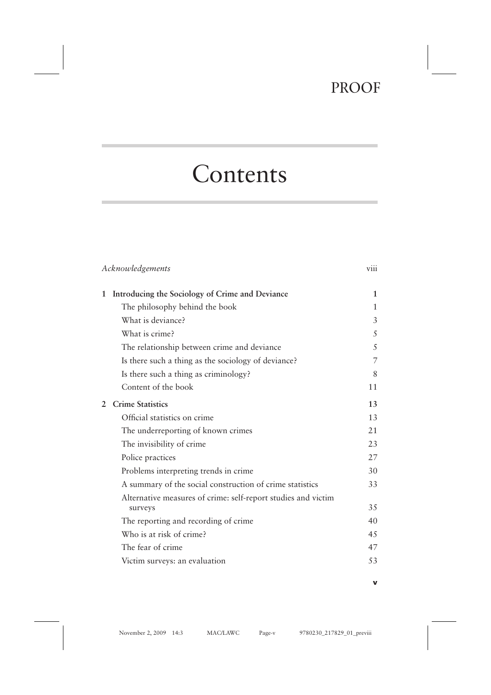# Contents

| Acknowledgements |                                                                          | viii         |  |
|------------------|--------------------------------------------------------------------------|--------------|--|
| 1                | Introducing the Sociology of Crime and Deviance                          | $\mathbf{1}$ |  |
|                  | The philosophy behind the book                                           | 1            |  |
|                  | What is deviance?                                                        | 3            |  |
|                  | What is crime?                                                           | 5            |  |
|                  | The relationship between crime and deviance                              | 5            |  |
|                  | Is there such a thing as the sociology of deviance?                      | 7            |  |
|                  | Is there such a thing as criminology?                                    | 8            |  |
|                  | Content of the book                                                      | 11           |  |
| 2                | <b>Crime Statistics</b>                                                  | 13           |  |
|                  | Official statistics on crime                                             | 13           |  |
|                  | The underreporting of known crimes                                       | 21           |  |
|                  | The invisibility of crime                                                | 23           |  |
|                  | Police practices                                                         | 27           |  |
|                  | Problems interpreting trends in crime                                    | 30           |  |
|                  | A summary of the social construction of crime statistics                 | 33           |  |
|                  | Alternative measures of crime: self-report studies and victim<br>surveys | 35           |  |
|                  | The reporting and recording of crime                                     | 40           |  |
|                  | Who is at risk of crime?                                                 | 45           |  |
|                  | The fear of crime                                                        | 47           |  |
|                  | Victim surveys: an evaluation                                            | 53           |  |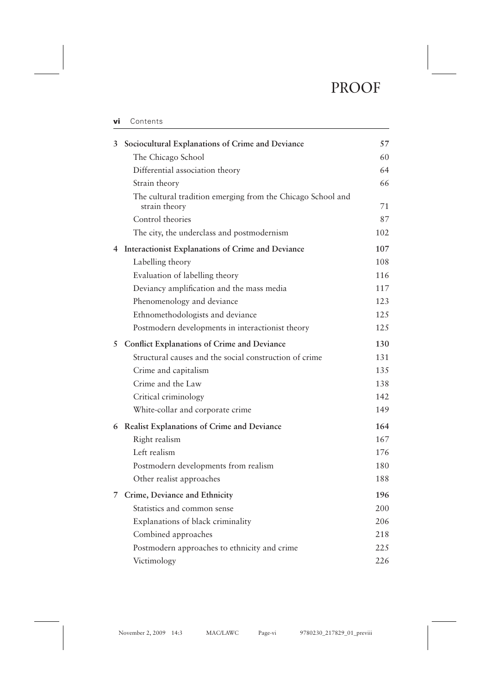## **vi** Contents

| 3 | Sociocultural Explanations of Crime and Deviance            | 57  |
|---|-------------------------------------------------------------|-----|
|   | The Chicago School                                          | 60  |
|   | Differential association theory                             | 64  |
|   | Strain theory                                               | 66  |
|   | The cultural tradition emerging from the Chicago School and |     |
|   | strain theory                                               | 71  |
|   | Control theories                                            | 87  |
|   | The city, the underclass and postmodernism                  | 102 |
| 4 | Interactionist Explanations of Crime and Deviance           | 107 |
|   | Labelling theory                                            | 108 |
|   | Evaluation of labelling theory                              | 116 |
|   | Deviancy amplification and the mass media                   | 117 |
|   | Phenomenology and deviance                                  | 123 |
|   | Ethnomethodologists and deviance                            | 125 |
|   | Postmodern developments in interactionist theory            | 125 |
| 5 | Conflict Explanations of Crime and Deviance                 |     |
|   | Structural causes and the social construction of crime      | 131 |
|   | Crime and capitalism                                        | 135 |
|   | Crime and the Law                                           | 138 |
|   | Critical criminology                                        | 142 |
|   | White-collar and corporate crime                            | 149 |
|   | 6 Realist Explanations of Crime and Deviance                | 164 |
|   | Right realism                                               | 167 |
|   | Left realism                                                | 176 |
|   | Postmodern developments from realism                        | 180 |
|   | Other realist approaches                                    | 188 |
| 7 | Crime, Deviance and Ethnicity                               | 196 |
|   | Statistics and common sense                                 | 200 |
|   | Explanations of black criminality                           | 206 |
|   | Combined approaches                                         | 218 |
|   | Postmodern approaches to ethnicity and crime                | 225 |
|   | Victimology                                                 | 226 |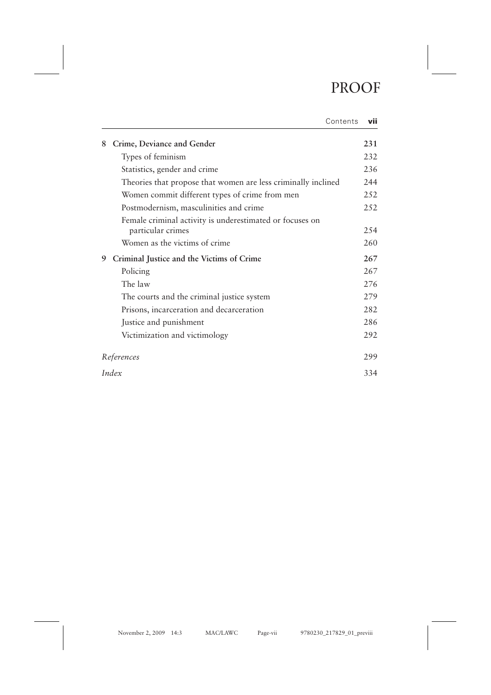Contents **vii**

| 8     | Crime, Deviance and Gender                                                    | 231  |
|-------|-------------------------------------------------------------------------------|------|
|       | Types of feminism                                                             | 232  |
|       | Statistics, gender and crime                                                  | 236  |
|       | Theories that propose that women are less criminally inclined                 | 244  |
|       | Women commit different types of crime from men                                | 252  |
|       | Postmodernism, masculinities and crime                                        | 252  |
|       | Female criminal activity is underestimated or focuses on<br>particular crimes | 2.54 |
|       | Women as the victims of crime                                                 | 260  |
| 9     | Criminal Justice and the Victims of Crime                                     |      |
|       | Policing                                                                      | 267  |
|       | The law                                                                       | 276  |
|       | The courts and the criminal justice system                                    | 279  |
|       | Prisons, incarceration and decarceration                                      | 282  |
|       | Justice and punishment                                                        | 286  |
|       | Victimization and victimology                                                 | 292  |
|       | References                                                                    | 299  |
| Index |                                                                               | 334  |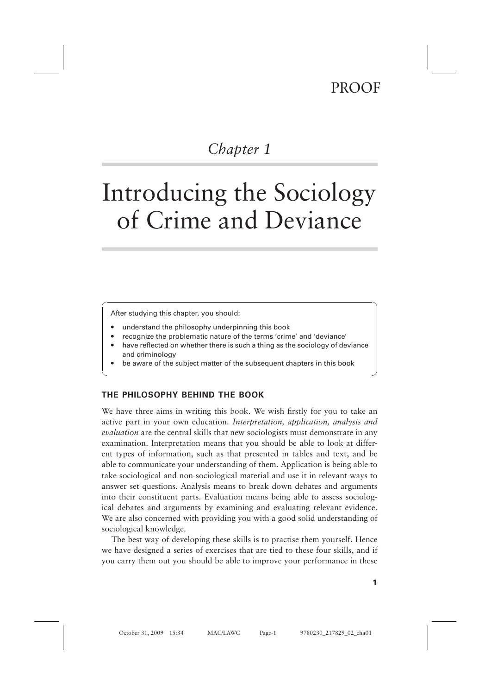## *Chapter 1*

# Introducing the Sociology of Crime and Deviance

After studying this chapter, you should:

☛

 $\searrow$ 

- understand the philosophy underpinning this book
- recognize the problematic nature of the terms 'crime' and 'deviance'
- have reflected on whether there is such a thing as the sociology of deviance and criminology
- be aware of the subject matter of the subsequent chapters in this book

### **THE PHILOSOPHY BEHIND THE BOOK**

We have three aims in writing this book. We wish firstly for you to take an active part in your own education. *Interpretation, application, analysis and evaluation* are the central skills that new sociologists must demonstrate in any examination. Interpretation means that you should be able to look at different types of information, such as that presented in tables and text, and be able to communicate your understanding of them. Application is being able to take sociological and non-sociological material and use it in relevant ways to answer set questions. Analysis means to break down debates and arguments into their constituent parts. Evaluation means being able to assess sociological debates and arguments by examining and evaluating relevant evidence. We are also concerned with providing you with a good solid understanding of sociological knowledge.

The best way of developing these skills is to practise them yourself. Hence we have designed a series of exercises that are tied to these four skills, and if you carry them out you should be able to improve your performance in these

 $\mathbf{a}^{\dagger}$ 

✠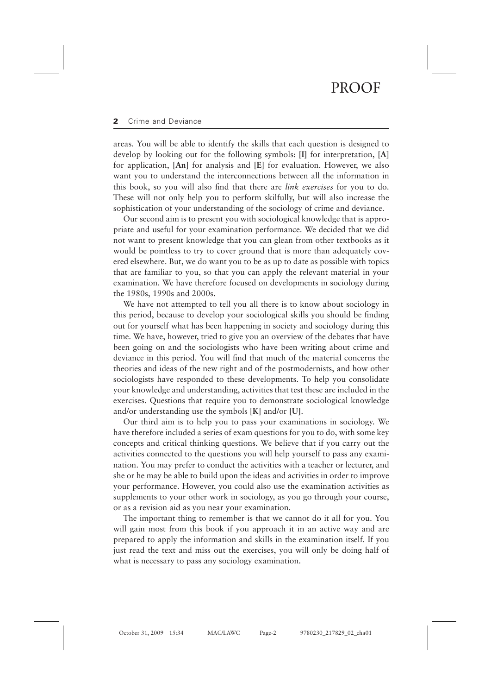areas. You will be able to identify the skills that each question is designed to develop by looking out for the following symbols: **[I]** for interpretation, **[A]** for application, **[An]** for analysis and **[E]** for evaluation. However, we also want you to understand the interconnections between all the information in this book, so you will also find that there are *link exercises* for you to do. These will not only help you to perform skilfully, but will also increase the sophistication of your understanding of the sociology of crime and deviance.

Our second aim is to present you with sociological knowledge that is appropriate and useful for your examination performance. We decided that we did not want to present knowledge that you can glean from other textbooks as it would be pointless to try to cover ground that is more than adequately covered elsewhere. But, we do want you to be as up to date as possible with topics that are familiar to you, so that you can apply the relevant material in your examination. We have therefore focused on developments in sociology during the 1980s, 1990s and 2000s.

We have not attempted to tell you all there is to know about sociology in this period, because to develop your sociological skills you should be finding out for yourself what has been happening in society and sociology during this time. We have, however, tried to give you an overview of the debates that have been going on and the sociologists who have been writing about crime and deviance in this period. You will find that much of the material concerns the theories and ideas of the new right and of the postmodernists, and how other sociologists have responded to these developments. To help you consolidate your knowledge and understanding, activities that test these are included in the exercises. Questions that require you to demonstrate sociological knowledge and/or understanding use the symbols **[K]** and/or **[U]**.

Our third aim is to help you to pass your examinations in sociology. We have therefore included a series of exam questions for you to do, with some key concepts and critical thinking questions. We believe that if you carry out the activities connected to the questions you will help yourself to pass any examination. You may prefer to conduct the activities with a teacher or lecturer, and she or he may be able to build upon the ideas and activities in order to improve your performance. However, you could also use the examination activities as supplements to your other work in sociology, as you go through your course, or as a revision aid as you near your examination.

The important thing to remember is that we cannot do it all for you. You will gain most from this book if you approach it in an active way and are prepared to apply the information and skills in the examination itself. If you just read the text and miss out the exercises, you will only be doing half of what is necessary to pass any sociology examination.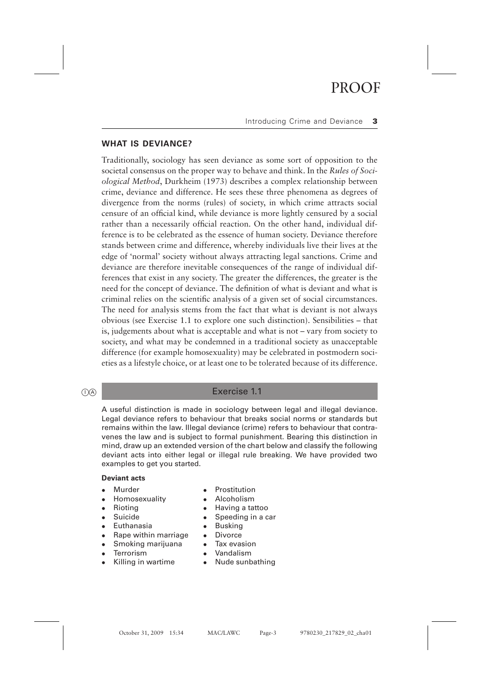#### **WHAT IS DEVIANCE?**

Traditionally, sociology has seen deviance as some sort of opposition to the societal consensus on the proper way to behave and think. In the *Rules of Sociological Method*, Durkheim (1973) describes a complex relationship between crime, deviance and difference. He sees these three phenomena as degrees of divergence from the norms (rules) of society, in which crime attracts social censure of an official kind, while deviance is more lightly censured by a social rather than a necessarily official reaction. On the other hand, individual difference is to be celebrated as the essence of human society. Deviance therefore stands between crime and difference, whereby individuals live their lives at the edge of 'normal' society without always attracting legal sanctions. Crime and deviance are therefore inevitable consequences of the range of individual differences that exist in any society. The greater the differences, the greater is the need for the concept of deviance. The definition of what is deviant and what is criminal relies on the scientific analysis of a given set of social circumstances. The need for analysis stems from the fact that what is deviant is not always obvious (see Exercise 1.1 to explore one such distinction). Sensibilities – that is, judgements about what is acceptable and what is not – vary from society to society, and what may be condemned in a traditional society as unacceptable difference (for example homosexuality) may be celebrated in postmodern societies as a lifestyle choice, or at least one to be tolerated because of its difference.

## $U(A)$

## Exercise 1.1

A useful distinction is made in sociology between legal and illegal deviance. Legal deviance refers to behaviour that breaks social norms or standards but remains within the law. Illegal deviance (crime) refers to behaviour that contravenes the law and is subject to formal punishment. Bearing this distinction in mind, draw up an extended version of the chart below and classify the following deviant acts into either legal or illegal rule breaking. We have provided two examples to get you started.

#### **Deviant acts**

- 
- Homosexuality<br>• Rioting
- 
- 
- 
- Euthanasia Busking **Rape within marriage • Divorce**<br>**Smoking mariiuana** • Tax evasion
- Smoking marijuana<br>Terrorism
- 
- 
- Murder Prostitution
	-
	- **Francisco Rioting 19 Allen Contract Solution Contract Contract Contract A**<br> **•** Speeding in a c
	- Suicide Speeding in a car
		-
		-
		-
	- **Facture 19 Terrorism**<br> **Killing in wartime •** Nude sunb
		- Nude sunbathing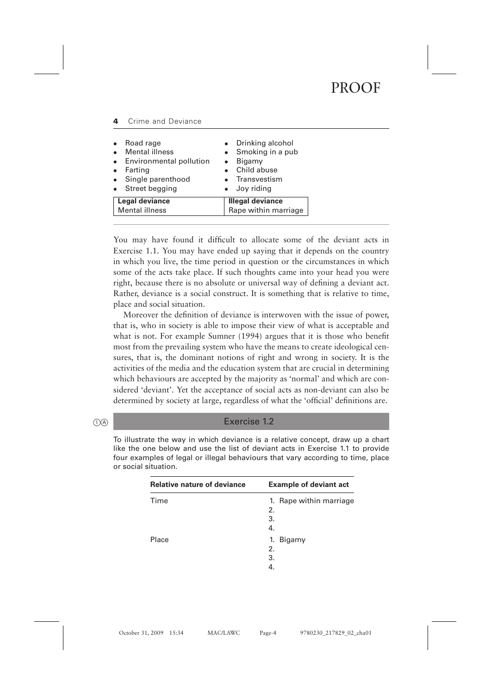|                                                  | Crime and Deviance                                                                                                  |                                                                                             |
|--------------------------------------------------|---------------------------------------------------------------------------------------------------------------------|---------------------------------------------------------------------------------------------|
| $\bullet$<br>$\bullet$<br>$\bullet$<br>$\bullet$ | Road rage<br><b>Mental illness</b><br>• Environmental pollution<br>Farting<br>• Single parenthood<br>Street begging | Drinking alcohol<br>Smoking in a pub<br>Bigamy<br>Child abuse<br>Transvestism<br>Joy riding |
|                                                  | Legal deviance<br><b>Mental illness</b>                                                                             | Illegal deviance<br>Rape within marriage                                                    |

You may have found it difficult to allocate some of the deviant acts in Exercise 1.1. You may have ended up saying that it depends on the country in which you live, the time period in question or the circumstances in which some of the acts take place. If such thoughts came into your head you were right, because there is no absolute or universal way of defining a deviant act. Rather, deviance is a social construct. It is something that is relative to time, place and social situation.

Moreover the definition of deviance is interwoven with the issue of power, that is, who in society is able to impose their view of what is acceptable and what is not. For example Sumner (1994) argues that it is those who benefit most from the prevailing system who have the means to create ideological censures, that is, the dominant notions of right and wrong in society. It is the activities of the media and the education system that are crucial in determining which behaviours are accepted by the majority as 'normal' and which are considered 'deviant'. Yet the acceptance of social acts as non-deviant can also be determined by society at large, regardless of what the 'official' definitions are.

### Exercise 1.2

To illustrate the way in which deviance is a relative concept, draw up a chart like the one below and use the list of deviant acts in Exercise 1.1 to provide four examples of legal or illegal behaviours that vary according to time, place or social situation.

| <b>Relative nature of deviance</b> | <b>Example of deviant act</b> |
|------------------------------------|-------------------------------|
| Time                               | 1. Rape within marriage       |
|                                    | 2.                            |
|                                    | 3.                            |
|                                    | 4.                            |
| Place                              | Bigamy<br>1.                  |
|                                    | 2.                            |
|                                    | 3.                            |
|                                    | 4.                            |

 $\cup$  $\circ$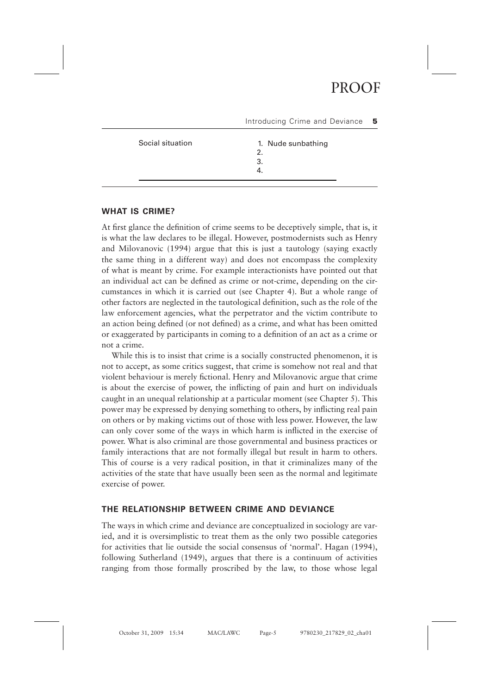| Social situation | 1. Nude sunbathing |
|------------------|--------------------|
|                  | 2.                 |
|                  |                    |
|                  |                    |
|                  |                    |

### **WHAT IS CRIME?**

At first glance the definition of crime seems to be deceptively simple, that is, it is what the law declares to be illegal. However, postmodernists such as Henry and Milovanovic (1994) argue that this is just a tautology (saying exactly the same thing in a different way) and does not encompass the complexity of what is meant by crime. For example interactionists have pointed out that an individual act can be defined as crime or not-crime, depending on the circumstances in which it is carried out (see Chapter 4). But a whole range of other factors are neglected in the tautological definition, such as the role of the law enforcement agencies, what the perpetrator and the victim contribute to an action being defined (or not defined) as a crime, and what has been omitted or exaggerated by participants in coming to a definition of an act as a crime or not a crime.

While this is to insist that crime is a socially constructed phenomenon, it is not to accept, as some critics suggest, that crime is somehow not real and that violent behaviour is merely fictional. Henry and Milovanovic argue that crime is about the exercise of power, the inflicting of pain and hurt on individuals caught in an unequal relationship at a particular moment (see Chapter 5). This power may be expressed by denying something to others, by inflicting real pain on others or by making victims out of those with less power. However, the law can only cover some of the ways in which harm is inflicted in the exercise of power. What is also criminal are those governmental and business practices or family interactions that are not formally illegal but result in harm to others. This of course is a very radical position, in that it criminalizes many of the activities of the state that have usually been seen as the normal and legitimate exercise of power.

### **THE RELATIONSHIP BETWEEN CRIME AND DEVIANCE**

The ways in which crime and deviance are conceptualized in sociology are varied, and it is oversimplistic to treat them as the only two possible categories for activities that lie outside the social consensus of 'normal'. Hagan (1994), following Sutherland (1949), argues that there is a continuum of activities ranging from those formally proscribed by the law, to those whose legal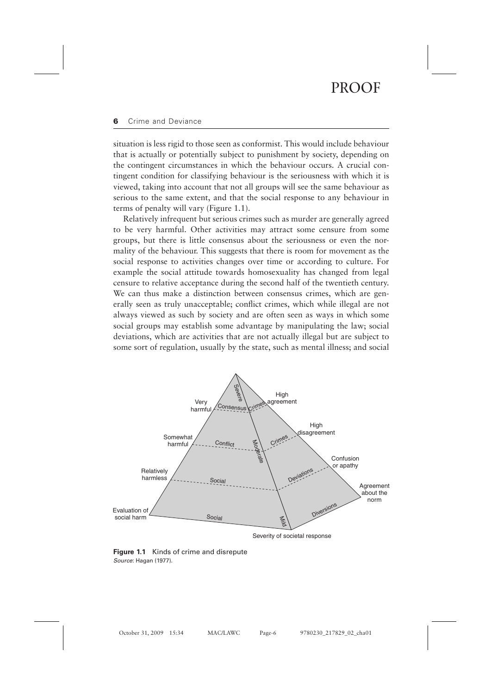situation is less rigid to those seen as conformist. This would include behaviour that is actually or potentially subject to punishment by society, depending on the contingent circumstances in which the behaviour occurs. A crucial contingent condition for classifying behaviour is the seriousness with which it is viewed, taking into account that not all groups will see the same behaviour as serious to the same extent, and that the social response to any behaviour in terms of penalty will vary (Figure 1.1).

Relatively infrequent but serious crimes such as murder are generally agreed to be very harmful. Other activities may attract some censure from some groups, but there is little consensus about the seriousness or even the normality of the behaviour. This suggests that there is room for movement as the social response to activities changes over time or according to culture. For example the social attitude towards homosexuality has changed from legal censure to relative acceptance during the second half of the twentieth century. We can thus make a distinction between consensus crimes, which are generally seen as truly unacceptable; conflict crimes, which while illegal are not always viewed as such by society and are often seen as ways in which some social groups may establish some advantage by manipulating the law; social deviations, which are activities that are not actually illegal but are subject to some sort of regulation, usually by the state, such as mental illness; and social



Severity of societal response

**Figure 1.1** Kinds of crime and disrepute *Source*: Hagan (1977).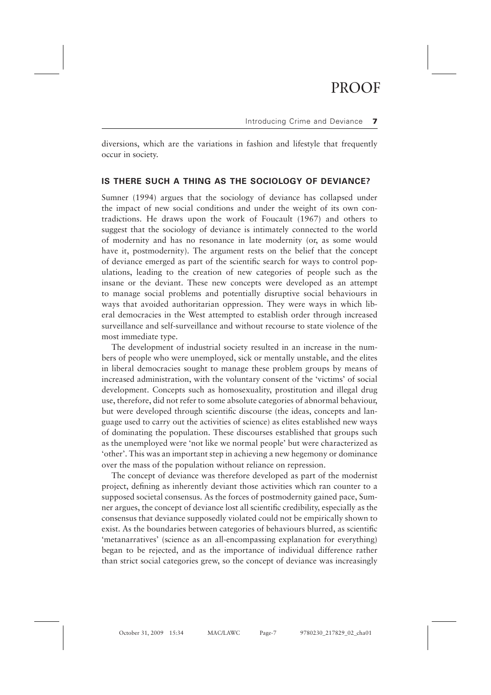diversions, which are the variations in fashion and lifestyle that frequently occur in society.

## **IS THERE SUCH A THING AS THE SOCIOLOGY OF DEVIANCE?**

Sumner (1994) argues that the sociology of deviance has collapsed under the impact of new social conditions and under the weight of its own contradictions. He draws upon the work of Foucault (1967) and others to suggest that the sociology of deviance is intimately connected to the world of modernity and has no resonance in late modernity (or, as some would have it, postmodernity). The argument rests on the belief that the concept of deviance emerged as part of the scientific search for ways to control populations, leading to the creation of new categories of people such as the insane or the deviant. These new concepts were developed as an attempt to manage social problems and potentially disruptive social behaviours in ways that avoided authoritarian oppression. They were ways in which liberal democracies in the West attempted to establish order through increased surveillance and self-surveillance and without recourse to state violence of the most immediate type.

The development of industrial society resulted in an increase in the numbers of people who were unemployed, sick or mentally unstable, and the elites in liberal democracies sought to manage these problem groups by means of increased administration, with the voluntary consent of the 'victims' of social development. Concepts such as homosexuality, prostitution and illegal drug use, therefore, did not refer to some absolute categories of abnormal behaviour, but were developed through scientific discourse (the ideas, concepts and language used to carry out the activities of science) as elites established new ways of dominating the population. These discourses established that groups such as the unemployed were 'not like we normal people' but were characterized as 'other'. This was an important step in achieving a new hegemony or dominance over the mass of the population without reliance on repression.

The concept of deviance was therefore developed as part of the modernist project, defining as inherently deviant those activities which ran counter to a supposed societal consensus. As the forces of postmodernity gained pace, Sumner argues, the concept of deviance lost all scientific credibility, especially as the consensus that deviance supposedly violated could not be empirically shown to exist. As the boundaries between categories of behaviours blurred, as scientific 'metanarratives' (science as an all-encompassing explanation for everything) began to be rejected, and as the importance of individual difference rather than strict social categories grew, so the concept of deviance was increasingly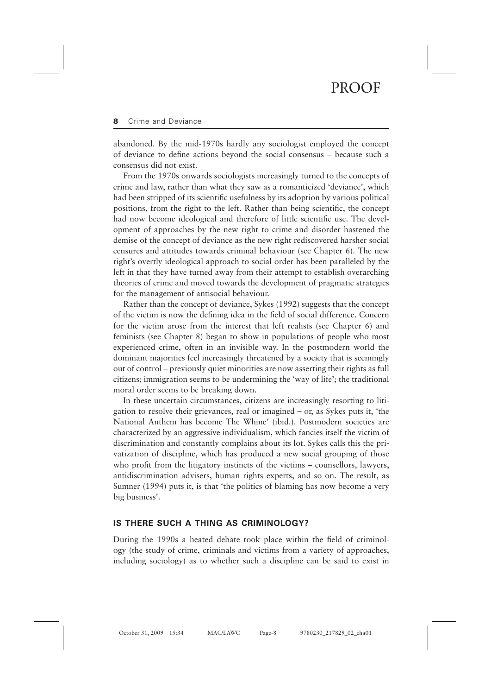abandoned. By the mid-1970s hardly any sociologist employed the concept of deviance to define actions beyond the social consensus – because such a consensus did not exist.

From the 1970s onwards sociologists increasingly turned to the concepts of crime and law, rather than what they saw as a romanticized 'deviance', which had been stripped of its scientific usefulness by its adoption by various political positions, from the right to the left. Rather than being scientific, the concept had now become ideological and therefore of little scientific use. The development of approaches by the new right to crime and disorder hastened the demise of the concept of deviance as the new right rediscovered harsher social censures and attitudes towards criminal behaviour (see Chapter 6). The new right's overtly ideological approach to social order has been paralleled by the left in that they have turned away from their attempt to establish overarching theories of crime and moved towards the development of pragmatic strategies for the management of antisocial behaviour.

Rather than the concept of deviance, Sykes (1992) suggests that the concept of the victim is now the defining idea in the field of social difference. Concern for the victim arose from the interest that left realists (see Chapter 6) and feminists (see Chapter 8) began to show in populations of people who most experienced crime, often in an invisible way. In the postmodern world the dominant majorities feel increasingly threatened by a society that is seemingly out of control – previously quiet minorities are now asserting their rights as full citizens; immigration seems to be undermining the 'way of life'; the traditional moral order seems to be breaking down.

In these uncertain circumstances, citizens are increasingly resorting to litigation to resolve their grievances, real or imagined – or, as Sykes puts it, 'the National Anthem has become The Whine' (ibid.). Postmodern societies are characterized by an aggressive individualism, which fancies itself the victim of discrimination and constantly complains about its lot. Sykes calls this the privatization of discipline, which has produced a new social grouping of those who profit from the litigatory instincts of the victims – counsellors, lawyers, antidiscrimination advisers, human rights experts, and so on. The result, as Sumner (1994) puts it, is that 'the politics of blaming has now become a very big business'.

#### **IS THERE SUCH A THING AS CRIMINOLOGY?**

During the 1990s a heated debate took place within the field of criminology (the study of crime, criminals and victims from a variety of approaches, including sociology) as to whether such a discipline can be said to exist in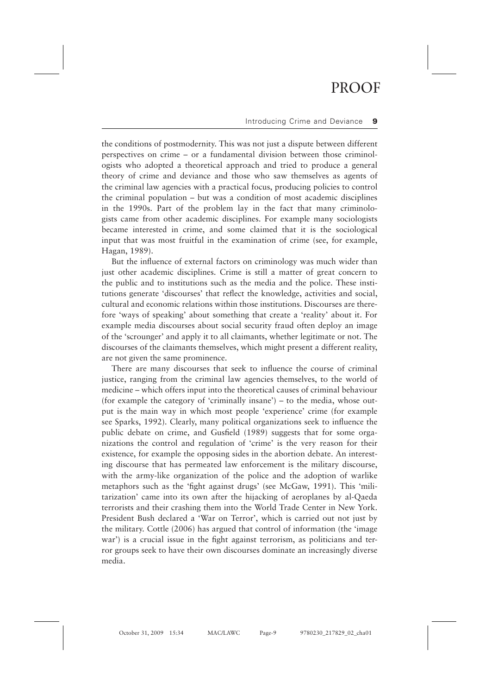#### Introducing Crime and Deviance **9**

the conditions of postmodernity. This was not just a dispute between different perspectives on crime – or a fundamental division between those criminologists who adopted a theoretical approach and tried to produce a general theory of crime and deviance and those who saw themselves as agents of the criminal law agencies with a practical focus, producing policies to control the criminal population – but was a condition of most academic disciplines in the 1990s. Part of the problem lay in the fact that many criminologists came from other academic disciplines. For example many sociologists became interested in crime, and some claimed that it is the sociological input that was most fruitful in the examination of crime (see, for example, Hagan, 1989).

But the influence of external factors on criminology was much wider than just other academic disciplines. Crime is still a matter of great concern to the public and to institutions such as the media and the police. These institutions generate 'discourses' that reflect the knowledge, activities and social, cultural and economic relations within those institutions. Discourses are therefore 'ways of speaking' about something that create a 'reality' about it. For example media discourses about social security fraud often deploy an image of the 'scrounger' and apply it to all claimants, whether legitimate or not. The discourses of the claimants themselves, which might present a different reality, are not given the same prominence.

There are many discourses that seek to influence the course of criminal justice, ranging from the criminal law agencies themselves, to the world of medicine – which offers input into the theoretical causes of criminal behaviour (for example the category of 'criminally insane') – to the media, whose output is the main way in which most people 'experience' crime (for example see Sparks, 1992). Clearly, many political organizations seek to influence the public debate on crime, and Gusfield (1989) suggests that for some organizations the control and regulation of 'crime' is the very reason for their existence, for example the opposing sides in the abortion debate. An interesting discourse that has permeated law enforcement is the military discourse, with the army-like organization of the police and the adoption of warlike metaphors such as the 'fight against drugs' (see McGaw, 1991). This 'militarization' came into its own after the hijacking of aeroplanes by al-Qaeda terrorists and their crashing them into the World Trade Center in New York. President Bush declared a 'War on Terror', which is carried out not just by the military. Cottle (2006) has argued that control of information (the 'image war') is a crucial issue in the fight against terrorism, as politicians and terror groups seek to have their own discourses dominate an increasingly diverse media.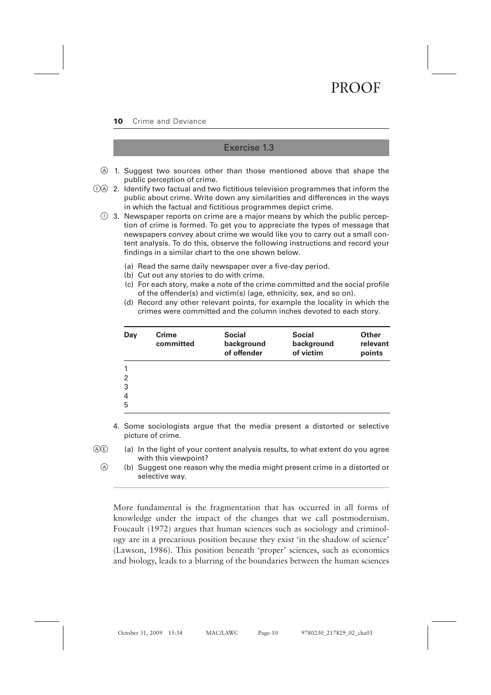## Exercise 1.3

- $\circledA$  1. Suggest two sources other than those mentioned above that shape the public perception of crime.
- $\left(\bigcup\Delta\right)$  2. Identify two factual and two fictitious television programmes that inform the public about crime. Write down any similarities and differences in the ways in which the factual and fictitious programmes depict crime.
	- (*i*) 3. Newspaper reports on crime are a major means by which the public perception of crime is formed. To get you to appreciate the types of message that newspapers convey about crime we would like you to carry out a small content analysis. To do this, observe the following instructions and record your findings in a similar chart to the one shown below.
		- (a) Read the same daily newspaper over a five-day period.
		- (b) Cut out any stories to do with crime.
		- (c) For each story, make a note of the crime committed and the social profile of the offender(s) and victim(s) (age, ethnicity, sex, and so on).
		- (d) Record any other relevant points, for example the locality in which the crimes were committed and the column inches devoted to each story.

| Day            | <b>Crime</b><br>committed | <b>Social</b><br>background<br>of offender | <b>Social</b><br>background<br>of victim | <b>Other</b><br>relevant<br>points |
|----------------|---------------------------|--------------------------------------------|------------------------------------------|------------------------------------|
|                |                           |                                            |                                          |                                    |
| $\overline{2}$ |                           |                                            |                                          |                                    |
| 3              |                           |                                            |                                          |                                    |
| $\overline{4}$ |                           |                                            |                                          |                                    |
| 5              |                           |                                            |                                          |                                    |

- 4. Some sociologists argue that the media present a distorted or selective picture of crime.
- (a) In the light of your content analysis results, to what extent do you agree with this viewpoint?
	- (b) Suggest one reason why the media might present crime in a distorted or selective way.

More fundamental is the fragmentation that has occurred in all forms of knowledge under the impact of the changes that we call postmodernism. Foucault (1972) argues that human sciences such as sociology and criminology are in a precarious position because they exist 'in the shadow of science' (Lawson, 1986). This position beneath 'proper' sciences, such as economics and biology, leads to a blurring of the boundaries between the human sciences

 $\overline{\text{A(E)}}$ 

 $\mathcal{A}$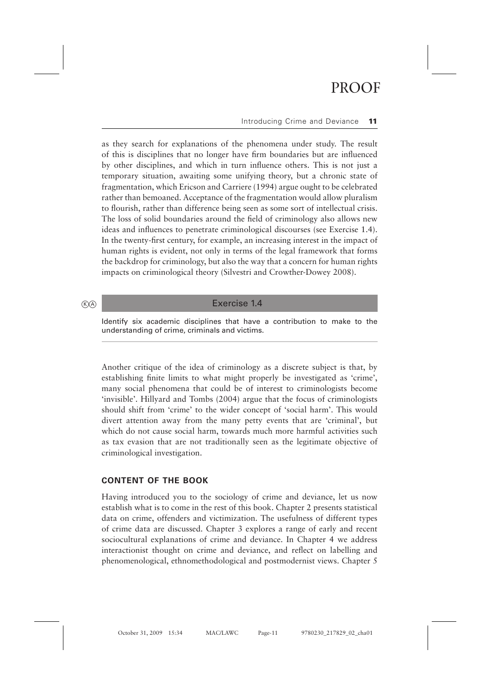#### Introducing Crime and Deviance **11**

as they search for explanations of the phenomena under study. The result of this is disciplines that no longer have firm boundaries but are influenced by other disciplines, and which in turn influence others. This is not just a temporary situation, awaiting some unifying theory, but a chronic state of fragmentation, which Ericson and Carriere (1994) argue ought to be celebrated rather than bemoaned. Acceptance of the fragmentation would allow pluralism to flourish, rather than difference being seen as some sort of intellectual crisis. The loss of solid boundaries around the field of criminology also allows new ideas and influences to penetrate criminological discourses (see Exercise 1.4). In the twenty-first century, for example, an increasing interest in the impact of human rights is evident, not only in terms of the legal framework that forms the backdrop for criminology, but also the way that a concern for human rights impacts on criminological theory (Silvestri and Crowther-Dowey 2008).

#### Exercise 1.4

Identify six academic disciplines that have a contribution to make to the understanding of crime, criminals and victims.

Another critique of the idea of criminology as a discrete subject is that, by establishing finite limits to what might properly be investigated as 'crime', many social phenomena that could be of interest to criminologists become 'invisible'. Hillyard and Tombs (2004) argue that the focus of criminologists should shift from 'crime' to the wider concept of 'social harm'. This would divert attention away from the many petty events that are 'criminal', but which do not cause social harm, towards much more harmful activities such as tax evasion that are not traditionally seen as the legitimate objective of criminological investigation.

#### **CONTENT OF THE BOOK**

Having introduced you to the sociology of crime and deviance, let us now establish what is to come in the rest of this book. Chapter 2 presents statistical data on crime, offenders and victimization. The usefulness of different types of crime data are discussed. Chapter 3 explores a range of early and recent sociocultural explanations of crime and deviance. In Chapter 4 we address interactionist thought on crime and deviance, and reflect on labelling and phenomenological, ethnomethodological and postmodernist views. Chapter 5

## (K)(A)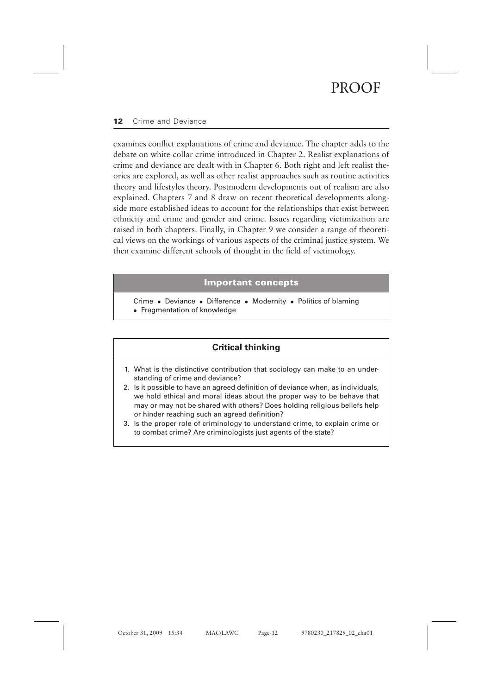#### **12** Crime and Deviance

examines conflict explanations of crime and deviance. The chapter adds to the debate on white-collar crime introduced in Chapter 2. Realist explanations of crime and deviance are dealt with in Chapter 6. Both right and left realist theories are explored, as well as other realist approaches such as routine activities theory and lifestyles theory. Postmodern developments out of realism are also explained. Chapters 7 and 8 draw on recent theoretical developments alongside more established ideas to account for the relationships that exist between ethnicity and crime and gender and crime. Issues regarding victimization are raised in both chapters. Finally, in Chapter 9 we consider a range of theoretical views on the workings of various aspects of the criminal justice system. We then examine different schools of thought in the field of victimology.

#### **Important concepts**

Crime • Deviance • Difference • Modernity • Politics of blaming • Fragmentation of knowledge

## **Critical thinking**

- 1. What is the distinctive contribution that sociology can make to an understanding of crime and deviance?
- 2. Is it possible to have an agreed definition of deviance when, as individuals, we hold ethical and moral ideas about the proper way to be behave that may or may not be shared with others? Does holding religious beliefs help or hinder reaching such an agreed definition?
- 3. Is the proper role of criminology to understand crime, to explain crime or to combat crime? Are criminologists just agents of the state?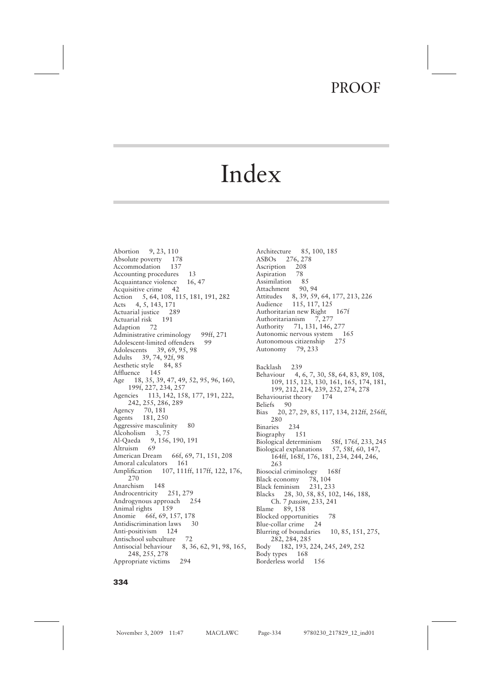# Index

Abortion 9, 23, 110<br>Absolute poverty 178 Absolute poverty Accommodation 137 Accounting procedures 13<br>Acquaintance violence 16.47 Acquaintance violence Acquisitive crime 42 Action 5, 64, 108, 115, 181, 191, 282 Acts 4, 5, 143, 171 Actuarial justice 289<br>Actuarial risk 191 Actuarial risk Adaption 72 Administrative criminology 99ff, 271 Adolescent-limited offenders 99 Adolescents 39, 69, 95, 98 Adults 39, 74, 92f, 98 Aesthetic style 84, 85 Affluence 145 Age 18, 35, 39, 47, 49, 52, 95, 96, 160, 199f, 227, 234, 257 Agencies 113, 142, 158, 177, 191, 222, 242, 255, 286, 289 Agency 70, 181 Agents 181, 250 Aggressive masculinity 80 Alcoholism 3, 75 Al-Qaeda 9, 156, 190, 191 Altruism 69<br>American Dream 66f, 69, 71, 151, 208 Amoral calculators 161 Amplification 107, 111ff, 117ff, 122, 176, 270 Anarchism 148<br>Androcentricity 251, 279 Androcentricity Androgynous approach 254 Animal rights 159 Anomie 66f, 69, 157, 178<br>Antidiscrimination laws 30 Antidiscrimination laws Anti-positivism 124 Antischool subculture 72 Antisocial behaviour 8, 36, 62, 91, 98, 165, 248, 255, 278 Appropriate victims 294

Architecture 85, 100, 185<br>ASBOs 276, 278  $\frac{276, 278}{208}$ Ascription 208<br>Aspiration 78 Aspiration 78<br>Assimilation 85 Assimilation 85<br>Attachment 90, 94 Attachment Attitudes 8, 39, 59, 64, 177, 213, 226 Audience 115, 117, 125 Authoritarian new Right 167f Authoritarianism 7, 277<br>Authority 71, 131, 146, Authority 71, 131, 146, 277 Autonomic nervous system 165 Autonomous citizenship 275 Autonomy 79, 233 Backlash 239 Behaviour 4, 6, 7, 30, 58, 64, 83, 89, 108, 109, 115, 123, 130, 161, 165, 174, 181, 199, 212, 214, 239, 252, 274, 278 Behaviourist theory<br>Beliefs 90 Beliefs<br>Bias Bias 20, 27, 29, 85, 117, 134, 212ff, 256ff, 280 Binaries 234 Biography 151 Biological determinism 58f, 176f, 233, 245 Biological explanations 57, 58f, 60, 147, 164ff, 168f, 176, 181, 234, 244, 246, 263 Biosocial criminology 168f<br>Black economy 78, 104 Black economy Black feminism 231, 233 Blacks 28, 30, 58, 85, 102, 146, 188, Ch. 7 *passim*, 233, 241 Blame 89, 158 Blocked opportunities 78 Blue-collar crime 24 Blurring of boundaries 10, 85, 151, 275, 282, 284, 285 Body 182, 193, 224, 245, 249, 252 Body types 168 Borderless world 156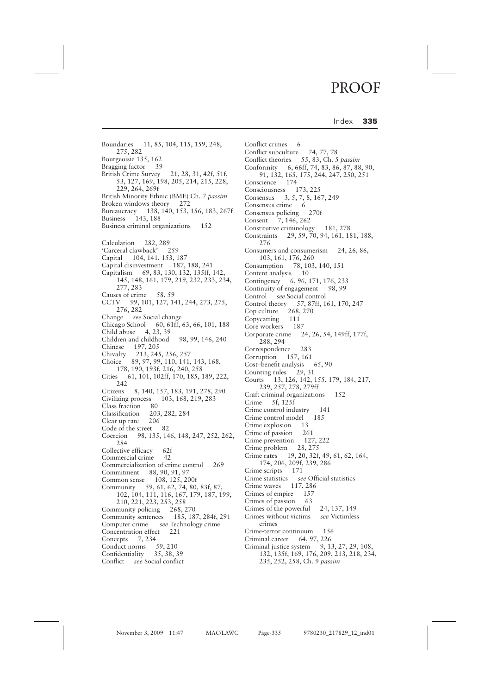#### Index **335**

Boundaries 11, 85, 104, 115, 159, 248, 275, 282 Bourgeoisie 135, 162 Bragging factor 39 British Crime Survey 21, 28, 31, 42f, 51f, 53, 127, 169, 198, 205, 214, 215, 228, 229, 264, 269f British Minority Ethnic (BME) Ch. 7 *passim* Broken windows theory Bureaucracy 138, 140, 153, 156, 183, 267f Business 143, 188 Business criminal organizations 152 Calculation 282, 289<br>
'Carceral clawback' 259 'Carceral clawback'<br>Capital 104, 141. 104, 141, 153, 187<br>
isinvestment 187, 188, 241 Capital disinvestment<br>Capitalism 69, 83, 1 Capitalism 69, 83, 130, 132, 135ff, 142, 145, 148, 161, 179, 219, 232, 233, 234, 277, 283 Causes of crime 58, 59 CCTV 99, 101, 127, 141, 244, 273, 275, 276, 282<br>Change *see* see Social change Chicago School 60, 61ff, 63, 66, 101, 188 Child abuse 4, 23, 39 Children and childhood 98, 99, 146, 240 Chinese 197, 205<br>Chivalry 213, 245 213, 245, 256, 257 Choice 89, 97, 99, 110, 141, 143, 168, 178, 190, 193f, 216, 240, 258 Cities 61, 101, 102ff, 170, 185, 189, 222, 242 Citizens 8, 140, 157, 183, 191, 278, 290 Civilizing process 103, 168, 219, 283<br>Class fraction 80 Class fraction Classification 203, 282, 284 Clear up rate 206<br>Code of the street 82 Code of the street Coercion 98, 135, 146, 148, 247, 252, 262, 284 Collective efficacy 62f<br>Commercial crime 42 Commercial crime Commercialization of crime control 269 Commitment 88, 90, 91, 97<br>Common sense 108, 125, 200f Common sense Community 59, 61, 62, 74, 80, 83f, 87, 102, 104, 111, 116, 167, 179, 187, 199, 210, 221, 223, 253, 258 Community policing 268, 270 Community sentences 185, 187, 284f, 291 Computer crime *see* Technology crime Concentration effect 221 Concepts 7, 234 Conduct norms 59, 210 Confidentiality 35, 38, 39 Conflict *see* Social conflict

Conflict crimes 6 Conflict subculture 74, 77, 78<br>Conflict theories 55, 83, Ch. 5 55, 83, Ch. 5 *passim* Conformity 6, 66ff, 74, 83, 86, 87, 88, 90, 91, 132, 165, 175, 244, 247, 250, 251<br>cience 174 Conscience Consciousness 173, 225 Consensus 3, 5, 7, 8, 167, 249 Consensus crime 6 Consensus policing 270f Consent 7, 146, 262 Constitutive criminology 181, 278 Constraints 29, 59, 70, 94, 161, 181, 188, 276 Consumers and consumerism 24, 26, 86, 103, 161, 176, 260 Consumption 78, 103, 140, 151<br>Content analysis 10 Content analysis Contingency 6, 96, 171, 176, 233 Continuity of engagement 98, 99 Control *see* Social control Control theory 57, 87ff, 161, 170, 247<br>Cop culture 268, 270 Cop culture Copycatting 111<br>Core workers 187 Core workers Corporate crime 24, 26, 54, 149ff, 177f, 288, 294 Correspondence 283 Corruption 157, 161 Cost–benefit analysis 65, 90 Counting rules 29, 31 Courts 13, 126, 142, 155, 179, 184, 217, 239, 257, 278, 279ff Craft criminal organizations 152 Crime 5f, 125f Crime control industry 141<br>Crime control model 185 Crime control model Crime explosion 13 Crime of passion 261 Crime prevention 127, 222 Crime problem 28, 275 Crime rates 19, 20, 32f, 49, 61, 62, 164, 174, 206, 209f, 239, 286 Crime scripts 171 Crime statistics *see* Official statistics<br>Crime waves 117, 286 Crime waves Crimes of empire 157 Crimes of passion 63 Crimes of the powerful 24, 137, 149 Crimes without victims *see* Victimless crimes Crime-terror continuum 156 Criminal career 64, 97, 226 Criminal justice system 9, 13, 27, 29, 108, 132, 135f, 169, 176, 209, 213, 218, 234, 235, 252, 258, Ch. 9 *passim*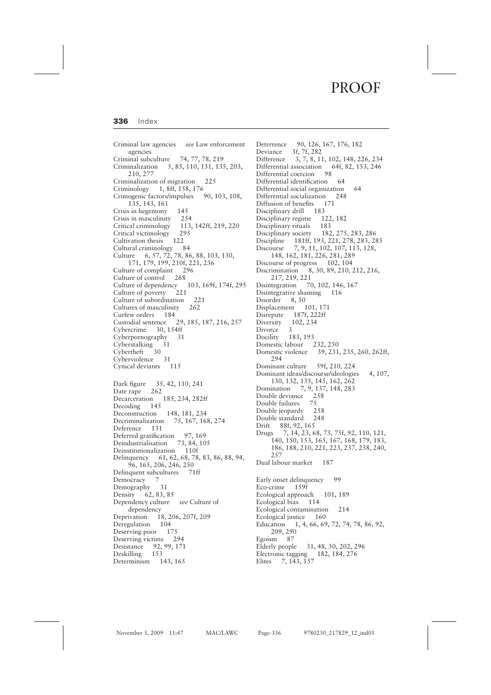Criminal law agencies *see* Law enforcement agencies Criminal subculture 74, 77, 78, 219 Criminalization 5, 85, 110, 131, 135, 203, 210, 277 Criminalization of migration 225 Criminology 1, 8ff, 158, 176<br>Crimogenic factors/impulses 90, 103, 108, Crimogenic factors/impulses 135, 143, 161 Crisis in hegemony 145 Crisis in masculinity 254 Critical criminology 113, 142ff, 219, 220 Critical victimology 295 Cultivation thesis 122 Cultural criminology 84 Culture 6, 57, 72, 78, 86, 88, 103, 130, 171, 179, 199, 210f, 221, 236 Culture of complaint 296<br>Culture of control 268 Culture of control Culture of dependency 103, 169f, 174f, 295<br>Culture of poverty 221 Culture of poverty Culture of subordination 221<br>Cultures of masculinity 262 Cultures of masculinity<br>Curfew orders 184 Curfew orders 1<br>Custodial sentence 29, 185, 187, 216, 257 Cybercrime 30, 154ff<br>Cyberpornography 31 Cyberpornography Cyberstalking 31<br>Cybertheft 30 Cybertheft Cyberviolence 31 Cynical deviants 115 Dark figure 35, 42, 110, 241 Date rape 262 Decarceration 185, 234, 282ff Decoding 145 Deconstruction 148, 181, 234 Decriminalization 75, 167, 168, 274 Deference 131 Deferred gratification 97, 169 Deindustrialisation 73, 84, 105 Deinstitutionalization 110f Delinquency 61, 62, 68, 78, 83, 86, 88, 94, 96, 165, 206, 246, 250 Delinquent subcultures 71ff Democracy 7 Demography 31 Density 62, 83, 85 Dependency culture *see* Culture of dependency Deprivation 18, 206, 207f, 209 Deregulation 104 Deserving poor 175 Deserving victims 294 Desistance 92, 99, 171 Deskilling 153 Determinism 143, 165

Deterrence 90, 126, 167, 176, 182<br>Deviance 3f, 7f, 282 Deviance 3f, 7f, 282<br>Difference 3, 7, 8, 11 3, 7, 8, 11, 102, 148, 226, 234<br>association 64f, 82, 153, 246 Differential association<br>Differential coercion 98 Differential coercion 98 Differential identification 64 Differential social organization 64<br>Differential socialization 248 Differential socialization<br>Diffusion of benefits 171 Diffusion of benefits Disciplinary drill 183 Disciplinary regime 122, 182 Disciplinary rituals 183 Disciplinary society 182, 275, 283, 286 Discipline 181ff, 193, 221, 278, 283, 285 Discourse 7, 9, 11, 102, 107, 113, 128, 148, 162, 181, 226, 281, 289 Discourse of progress 102, 104 Discrimination 8, 30, 89, 210, 212, 216, 217, 219, 221<br>Disintegration 70 70, 102, 146, 167 Disintegrative shaming 116 Disorder 8, 50<br>Displacement 101, 171 Displacement Disrepute 187f, 222ff<br>Diversity 102, 234 Diversity Divorce 3 Docility 183, 193 Domestic labour 232, 250 Domestic violence 39, 231, 235, 260, 262ff, 294 Dominant culture 59f, 210, 224 Dominant ideas/discourse/ideologies 4, 107, 130, 132, 135, 145, 162, 262 Domination 7, 9, 137, 148, 283 Double deviance 258 Double failures 75 Double jeopardy 258 Double standard 248 Drift 88f, 92, 165 Drugs 7, 14, 23, 68, 73, 75f, 92, 110, 121, 140, 150, 153, 165, 167, 168, 179, 183, 186, 188, 210, 221, 223, 237, 238, 240, 257 Dual labour market 187 Early onset delinquency 99 Eco-crime 159f Ecological approach 101, 189<br>Ecological bias 114 Ecological bias Ecological contamination 214 Ecological justice 160 Education 1, 4, 66, 69, 72, 74, 78, 86, 92, 209, 290 Egoism 87 Elderly people 31, 48, 50, 202, 296 Electronic tagging 182, 184, 276 Elites 7, 143, 157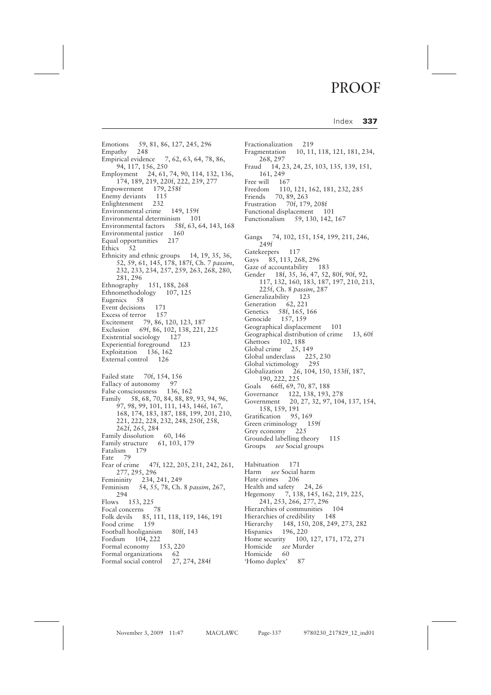Emotions 59, 81, 86, 127, 245, 296<br>Empathy 248 Empathy 248<br>Empirical evidence 7, 62, 63, 64, 78, 86, 94, 117, 156, 250 Employment 24, 61, 74, 90, 114, 132, 136, 174, 189, 219, 220f, 222, 239, 277 Empowerment 179,<br>Enemy deviants 115 Enemy deviants 11<br>Enlightenment 232 Enlightenment Environmental crime 149, 159f Environmental determinism 101<br>Environmental factors 58f, 63, 64, 143, 168 Environmental factors Environmental justice 160 Equal opportunities 217 Ethics 52 Ethnicity and ethnic groups 14, 19, 35, 36, 52, 59, 61, 145, 178, 187f, Ch. 7 *passim*, 232, 233, 234, 257, 259, 263, 268, 280, 281, 296 Ethnography 151, 188, 268 Ethnomethodology 107, 125<br>Eugenics 58 Eugenics Event decisions 171<br>Excess of terror 157 Excess of terror Excitement 79, 86, 120, 123, 187 Exclusion 69f, 86, 102, 138, 221, 225<br>Existential sociology 127 Existential sociology 127<br>Experiential foreground 123 Experiential foreground<br>Exploitation 136, 162 Exploitation External control 126 Failed state 70f, 154, 156 Fallacy of autonomy 97 False consciousness 136, 162 Family 58, 68, 70, 84, 88, 89, 93, 94, 96, 97, 98, 99, 101, 111, 143, 146f, 167, 168, 174, 183, 187, 188, 199, 201, 210, 221, 222, 228, 232, 248, 250f, 258, 262f, 265, 284 Family dissolution 60, 146 Family structure 61, 103, 179 Fatalism 179<br>Fate 79 Fate Fear of crime 47f, 122, 205, 231, 242, 261, 277, 295, 296 Femininity 234, 241, 249 Feminism 54, 55, 78, Ch. 8 *passim*, 267,  $294$ <br>Flows 153, 225 Focal concerns 78 Folk devils 85, 111, 118, 119, 146, 191 Food crime 159 Football hooliganism 80ff, 143 Fordism 104, 222 Formal economy 153, 220 Formal organizations 62<br>Formal social control 27, 274, 284f Formal social control

Fractionalization 219<br>Fragmentation 10, 11 Fragmentation 10, 11, 118, 121, 181, 234, 268, 297<br>Fraud 14, 2 14, 23, 24, 25, 103, 135, 139, 151, 161, 249<br>will 167 Free will<br>Freedom Freedom 110, 121, 162, 181, 232, 285<br>Friends 70, 89, 263 Friends 70, 89, 263 Frustration 70f, 179, 208f Functional displacement 101 Functionalism 59, 130, 142, 167 Gangs 74, 102, 151, 154, 199, 211, 246, 249f Gatekeepers 117<br>Gays 85, 113, 26  $85, 113, 268, 296$ Gaze of accountability 183<br>Gender 18f, 35, 36, 47, 52. 18f, 35, 36, 47, 52, 80f, 90f, 92, 117, 132, 160, 183, 187, 197, 210, 213, 225f, Ch. 8 *passim*, 287 Generalizability 12.<br>Generation 62, 221 Generation<br>Genetics 58f, 165, 166 Genocide 157, 159 Geographical displacement 101 Geographical distribution of crime 13, 60f Ghettoes 102, 188 Global crime 25, 149 Global underclass 225, 230 Global victimology 295 Globalization 26, 104, 150, 153ff, 187, 190, 222, 225 Goals 66ff, 69, 70, 87, 188 Governance 122, 138, 193, 278<br>Government 20, 27, 32, 97, 104 Government 20, 27, 32, 97, 104, 137, 154, 158, 159, 191<br>fication 95, 169 Gratification 95, 169<br>Green criminology 159f Green criminology Grey economy 225 Grounded labelling theory 115 Groups *see* Social groups Habituation 171 Harm *see* Social harm Hate crimes 206 Health and safety 24, 26 Hegemony 7, 138, 145, 162, 219, 225, 241, 253, 266, 277, 296 Hierarchies of communities 104 Hierarchies of credibility 148 Hierarchy 148, 150, 208, 249, 273, 282 Hispanics 196, 220 Home security 100, 127, 171, 172, 271 Homicide *see* Murder Homicide 60

#### 'Homo duplex' 87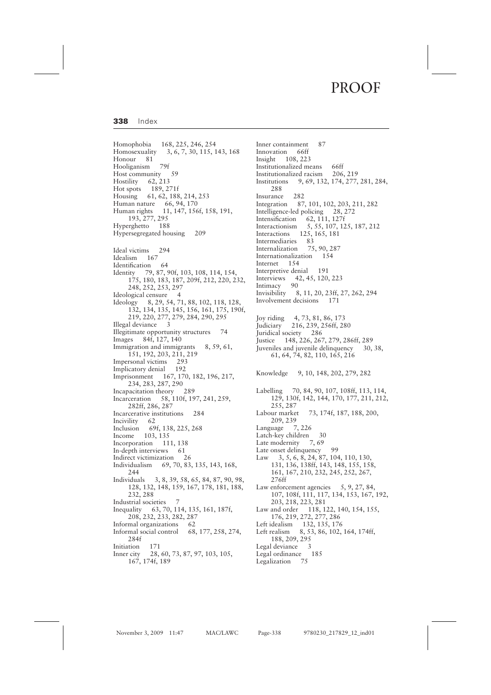Homophobia 168, 225, 246, 254<br>Homosexuality 3, 6, 7, 30, 115, 1 uality 3, 6, 7, 30, 115, 143, 168<br>81 Honour Hooliganism 79f<br>Host community 59 Host community<br>Hostility 62, 2 Hostility  $62, 213$ <br>Hot spots  $189, 27$ 189, 271f Housing 61, 62, 188, 214, 253 Human nature 66, 94, 170 Human rights 11, 147, 156f, 158, 191, 193, 277, 295 Hyperghetto 188 Hypersegregated housing 209 Ideal victims 294<br>Idealism 167 **Idealism** Identification 64<br>Identity 79.87.9 79, 87, 90f, 103, 108, 114, 154, 175, 180, 183, 187, 209f, 212, 220, 232, 248, 252, 253, 297 Ideological censure 4<br>Ideology 8, 29, 54, 7 8, 29, 54, 71, 88, 102, 118, 128, 132, 134, 135, 145, 156, 161, 175, 190f, 219, 220, 277, 279, 284, 290, 295 Illegal deviance 3 Illegitimate opportunity structures 74 Images 84f, 127, 140 Immigration and immigrants 8, 59, 61, 151, 192, 203, 211, 219 Impersonal victims 293 Implicatory denial 192 Imprisonment 167, 170, 182, 196, 217, 234, 283, 287, 290 Incapacitation theory 289 Incarceration 58, 110f, 197, 241, 259, 282ff, 286, 287 Incarcerative institutions 284 Incivility 62 Inclusion 69f, 138, 225, 268 Income 103, 135 Incorporation 111, 138 In-depth interviews 61 Indirect victimization 26 Individualism 69, 70, 83, 135, 143, 168, 244<br>Individuals Individuals 3, 8, 39, 58, 65, 84, 87, 90, 98, 128, 132, 148, 159, 167, 178, 181, 188, 232, 288 Industrial societies 7 Inequality 63, 70, 114, 135, 161, 187f, 208, 232, 233, 282, 287 Informal organizations 62 Informal social control 68, 177, 258, 274, 284f Initiation 171 Inner city 28, 60, 73, 87, 97, 103, 105, 167, 174f, 189

Inner containment 87 Innovation 66ff<br>Insight 108, 22. 108, 223 Institutionalized means 66ff<br>Institutionalized racism 206, 219 Institutionalized racism 206, 219 Institutions 9, 69, 132, 174, 277, 281, 284, 288 Insurance 282<br>Integration 87 Integration 87, 101, 102, 203, 211, 282 Intelligence-led policing 28, 272<br>Intensification 62, 111, 127f Intensification Interactionism 5, 55, 107, 125, 187, 212 Interactions  $125, 165, 181$ <br>Intermediaries  $83$ Intermediaries 83<br>Internalization 75, 90, 287 Internalization 75, 90, 2<br>Internationalization 154 Internationalization<br>Internet 154 Internet Interpretive denial 191<br>Interviews 42, 45, 120  $42, 45, 120, 223$ Intimacy<br>Invisibility Invisibility 8, 11, 20, 23ff, 27, 262, 294 Involvement decisions 171 Joy riding 4, 73, 81, 86, 173 Judiciary 216, 239, 256ff, 280 Juridical society 286 Justice 148, 226, 267, 279, 286ff, 289 Juveniles and juvenile delinquency 30, 38, 61, 64, 74, 82, 110, 165, 216 Knowledge 9, 10, 148, 202, 279, 282 Labelling 70, 84, 90, 107, 108ff, 113, 114, 129, 130f, 142, 144, 170, 177, 211, 212, 255, 287 Labour market 73, 174f, 187, 188, 200, 209, 239<br>uage 7, 226 Language Latch-key children 30<br>Late modernity 7, 69 Late modernity Late onset delinquency 99 Law 3, 5, 6, 8, 24, 87, 104, 110, 130, 131, 136, 138ff, 143, 148, 155, 158, 161, 167, 210, 232, 245, 252, 267, 276ff Law enforcement agencies 5, 9, 27, 84, 107, 108f, 111, 117, 134, 153, 167, 192, 203, 218, 223, 281 Law and order 118, 122, 140, 154, 155, 176, 219, 272, 277, 286 Left idealism 132, 135, 176 Left realism 8, 53, 86, 102, 164, 174ff, 188, 209, 295 Legal deviance 3 Legal ordinance 185 Legalization 75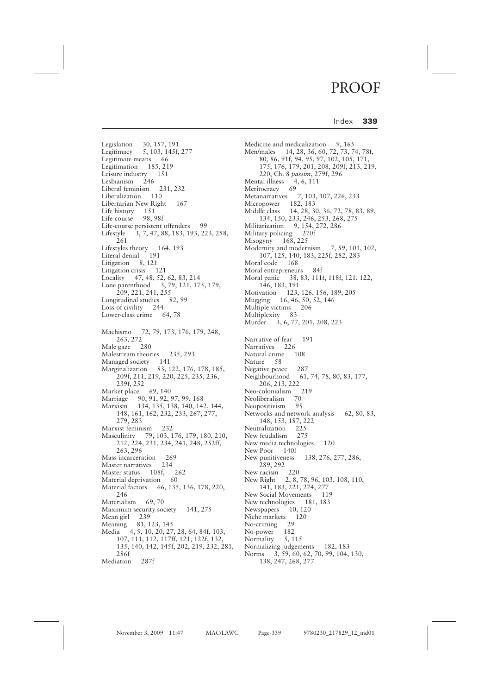#### Index **339**

Legislation 30, 157, 191 Legitimacy 5, 103, 145f, 277<br>Legitimate means 66 Legitimate means 66<br>Legitimation 185, 219 Legitimation 185, 21<br>Leisure industry 151 Leisure industry Lesbianism 246 Liberal feminism 231, 232 Liberalization 110 Libertarian New Right 167 Life history 151 Life-course 98, 98f Life-course persistent offenders 99 Lifestyle 3, 7, 47, 88, 183, 193, 223, 258, 261 Lifestyles theory 164, 193 Literal denial 191 Litigation 8, 121 Litigation crisis 121 Locality 47, 48, 52, 62, 83, 214<br>Lone parenthood 3, 79, 121, 17 Lone parenthood 3, 79, 121, 175, 179, 209, 221, 241, 255<br>
itudinal studies 82, 99 Longitudinal studies<br>Loss of civility 244 Loss of civility 244<br>Lower-class crime 64, 78 Lower-class crime Machismo 72, 79, 173, 176, 179, 248, 263, 272 Male gaze 280 Malestream theories 235, 293 Managed society 141 Marginalization 83, 122, 176, 178, 185, 209f, 211, 219, 220, 225, 235, 236, 239f, 252 Market place 69, 140 Marriage 90, 91, 92, 97, 99, 168 Marxism 134, 135, 138, 140, 142, 144, 148, 161, 162, 232, 233, 267, 277, 279, 283 Marxist feminism 232 Masculinity 79, 103, 176, 179, 180, 210, 212, 224, 231, 234, 241, 248, 252ff, 263, 296 Mass incarceration 269 Master narratives 234<br>Master status 108f, Master status 108f, 262 Material deprivation 60 Material factors 66, 135, 136, 178, 220, 246 Materialism 69, 70 Maximum security society 141, 275 Mean girl 239 Meaning 81, 123, 145 Media 4, 9, 10, 20, 27, 28, 64, 84f, 103, 107, 111, 112, 117ff, 121, 122f, 132, 135, 140, 142, 145f, 202, 219, 232, 281, 286f Mediation 287f

Medicine and medicalization 9, 165<br>Men/males 14, 28, 36, 60, 72, 73, 7 Men/males 14, 28, 36, 60, 72, 73, 74, 78f, 80, 86, 91f, 94, 95, 97, 102, 105, 171, 175, 176, 179, 201, 208, 209f, 213, 219, 220, Ch. 8 *passim*, 279f, 296 Mental illness 4<br>Meritocracy 69 Meritocracy<br>Metanarratives 7, 103, 107, 226, 233<br>182, 183 Micropower Middle class 14, 28, 30, 36, 72, 78, 83, 89, 134, 150, 233, 246, 253, 268, 275 Militarization 9, 154, 272, 286<br>Military policing 270f Military policing Misogyny 168, 225 Modernity and modernism 7, 59, 101, 102, 107, 125, 140, 183, 225f, 282, 283 Moral code 168 Moral entrepreneurs 84f<br>Moral panic 38, 83, 111 38, 83, 111f, 118f, 121, 122, 146, 183, 191<br>Motivation 123, 123, 126, 156, 189, 205 Mugging 16, 46, 50, 52, 146<br>Multiple victims 206 Multiple victims<br>Multiplexity 83 Multiplexity 83 Murder 3, 6, 77, 201, 208, 223 Narrative of fear 191 Narratives 226 Natural crime 108 Nature 58 Negative peace 287<br>Neighbourhood 61, 61, 74, 78, 80, 83, 177, 206, 213, 222 Neo-colonialism 219<br>Neoliberalism 70 Neoliberalism Neopositivism 95 Networks and network analysis 62, 80, 83, 148, 153, 187, 222 Neutralization 225 New feudalism 275 New media technologies 120 New Poor 140f<br>New punitiveness 138, 276, 277, 286, 289, 292<br>racism 220 New racism<br>New Right 2, 8, 78, 96, 103, 108, 110, 141, 183, 221, 274, 277 New Social Movements 119<br>New technologies 181, 183 New technologies Newspapers 10, 120 Niche markets 120 No-criming 29 No-power 182 Normality 5, 115 Normalizing judgements 182, 183 Norms 3, 59, 60, 62, 70, 99, 104, 130, 138, 247, 268, 277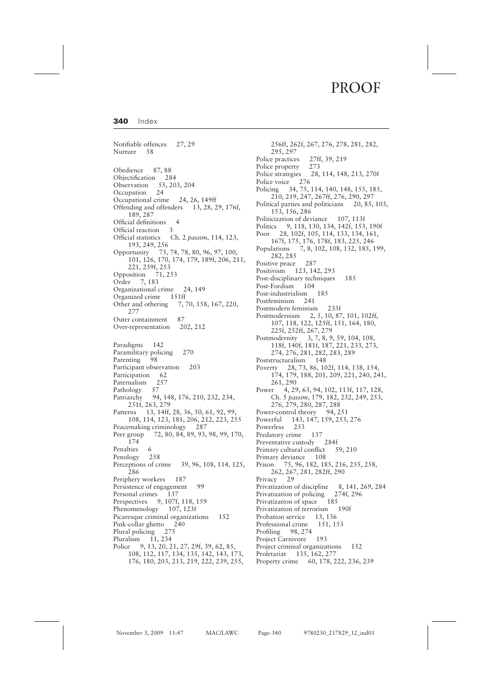Notifiable offences 27, 29<br>Nurture 58 Nurture Obedience 87, 88 Objectification 284 Observation 55, 203, 204 Occupation 24 Occupational crime 24, 26, 149ff Offending and offenders 13, 28, 29, 176f, 189, 287 Official definitions<br>Official reaction 3 Official reaction 3 Official statistics Ch. 2 *passim*, 114, 123, 193, 249, 256 Opportunity 73, 74, 78, 80, 96, 97, 100, 101, 126, 170, 174, 179, 189f, 206, 211, 221, 239f, 253<br>osition 71, 253 Opposition<br>Order 7. 7, 183 Organizational crime 24, 149<br>Organized crime 151ff Organized crime Other and othering 7, 70, 158, 167, 220, 277 Outer containment 87 Over-representation 202, 212 Paradigms 142 Paramilitary policing 270<br>Parenting 98 Parenting Participant observation 203 Participation 62<br>Paternalism 257 Paternalism 2<br>Pathology 57 Pathology Patriarchy 94, 148, 176, 210, 232, 234, 251f, 263, 279 Patterns 13, 14ff, 28, 36, 50, 61, 92, 99, 108, 114, 123, 181, 206, 212, 223, 255 Peacemaking criminology 287 Peer group 72, 80, 84, 89, 93, 98, 99, 170, 174 Penalties 6 Penology 258<br>Perceptions of crime 39, 96, 108, 114, 125, 286 Periphery workers 187 Persistence of engagement 99 Personal crimes 137 Perspectives 9, 107f, 118, 159 Phenomenology 107, 123f Picaresque criminal organizations 152 Pink-collar ghetto 240 Plural policing 275<br>Pluralism 11, 234 Pluralism Police 9, 13, 20, 21, 27, 29f, 39, 62, 85, 108, 112, 117, 134, 135, 142, 143, 173, 176, 180, 203, 213, 219, 222, 239, 255,

256ff, 262f, 267, 276, 278, 281, 282, 295, 297 Police practices 27ff, 39, 219<br>Police property 273 Police property<br>Police strategies 28, 114, 148, 213, 270f Police voice<sup>2</sup> 276 Policing 34, 75, 114, 140, 148, 155, 185, 210, 219, 247, 267ff, 276, 290, 297<br>ical parties and politicians 20, 85, 103, Political parties and politicians 153, 156, 286 Politicization of deviance 107, 113f Politics 9, 118, 130, 134, 142f, 153, 190f Poor 28, 102f, 105, 114, 133, 134, 161, 167f, 175, 176, 178f, 183, 225, 246<br>Populations 7, 8, 102, 108, 132, 185, Populations 7, 8, 102, 108, 132, 185, 199, 282, 285 Positive peace 287<br>Positivism 123, 14 123, 142, 293 Post-disciplinary techniques 185 Post-Fordism 104 Post-industrialism 185 Postfeminism 241 Postmodern feminism 233f Postmodernism 2, 5, 10, 87, 101, 102ff, 107, 118, 122, 125ff, 151, 164, 180, 225f, 252ff, 267, 279 Postmodernity 3, 7, 8, 9, 59, 104, 108, 118f, 140f, 181f, 187, 221, 233, 273, 274, 276, 281, 282, 283, 289 Poststructuralism 148 Poverty 28, 73, 86, 102f, 114, 138, 154, 174, 179, 188, 201, 209, 221, 240, 241, 261, 290 Power 4, 29, 63, 94, 102, 113f, 117, 128, Ch. 5 *passim*, 179, 182, 232, 249, 253, 276, 279, 280, 287, 288 Power-control theory 94, 251 Powerful 143, 147, 159, 253, 276 Powerless 253 Predatory crime 137 Preventative custody 284f Primary cultural conflict 59, 210 Primary deviance 108<br>Prison 75, 96, 182, 18 Prison 75, 96, 182, 185, 216, 255, 258, 262, 267, 281, 282ff, 290<br>cy 29 Privacy Privatization of discipline 8, 141, 269, 284<br>Privatization of policing 274f, 296 Privatization of policing Privatization of space 185 Privatization of terrorism 190f<br>Probation service 13, 136 Probation service Professional crime 151, 153 Profiling 98, 274 Project Carnivore 193 Project criminal organizations 152 Proletariat 135, 162, 277 Property crime 60, 178, 222, 236, 239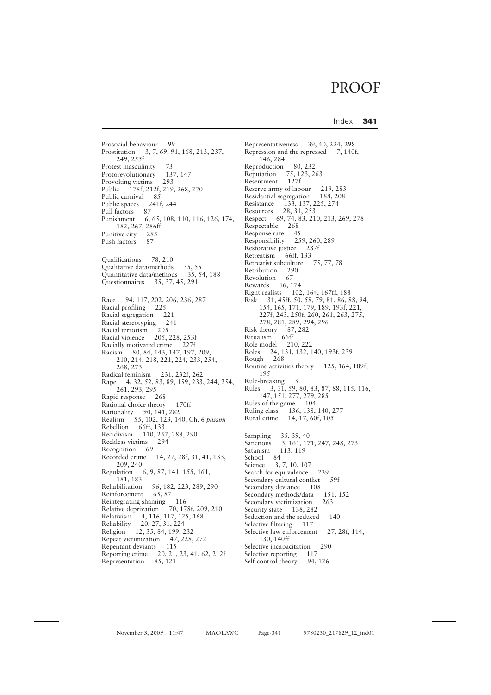#### Index **341**

Prosocial behaviour 99 Prostitution 3, 7, 69, 91, 168, 213, 237, 249, 255f Protest masculinity 73<br>Protorevolutionary 137, 147 Protorevolutionary 13<br>Provoking victims 293 Provoking victims<br>Public 176f, 21 176f, 212f, 219, 268, 270 Public carnival 85 Public spaces 241f, 244 Pull factors 87 Punishment 6, 65, 108, 110, 116, 126, 174, 182, 267, 286ff Punitive city 285 Push factors 87 Qualifications 78, 210 Qualitative data/methods 35, 55<br>Quantitative data/methods 35, 54, 188 Quantitative data/methods<br>Questionnaires 35, 37, 4 Questionnaires 35, 37, 45, 291 Race 94, 117, 202, 206, 236, 287 Racial profiling 225 Racial segregation 221 Racial stereotyping 241 Racial terrorism 205 Racial violence 205, 228, 253f Racially motivated crime 227f<br>Racism 80, 84, 143, 147, 197, Racism 80, 84, 143, 147, 197, 209, 210, 214, 218, 221, 224, 233, 254, 268, 273 Radical feminism 231, 232f, 262 Rape 4, 32, 52, 83, 89, 159, 233, 244, 254, 261, 293, 295 Rapid response 268 Rational choice theory 170ff Rationality 90, 141, 282 Realism 55, 102, 123, 140, Ch. 6 *passim* Rebellion 66ff, 133 Recidivism 110, 257, 288, 290 Reckless victims 294 Recognition 69 Recorded crime 14, 27, 28f, 31, 41, 133, 209, 240 Regulation 6, 9, 87, 141, 155, 161, 181, 183 Rehabilitation 96, 182, 223, 289, 290 Reinforcement 65, 87 Reintegrating shaming 116<br>Relative deprivation 70, 178f, 209, 210 Relative deprivation Relativism 4, 116, 117, 125, 168 Reliability 20, 27, 31, 224 Religion 12, 35, 84, 199, 232 Repeat victimization 47, 228, 272 Repentant deviants 115 Reporting crime 20, 21, 23, 41, 62, 212f Representation 85, 121

Representativeness 39, 40, 224, 298 Repression and the repressed 7, 140f, 146, 284 Reproduction 80, 232<br>Reputation 75, 123, 2 75, 123, 263<br>127f Resentment Reserve army of labour 219, 283<br>Residential segregation 188, 208 Residential segregation Resistance 133, 137, 225, 274 Resources 28, 31, 253 Respect 69, 74, 83, 210, 213, 269, 278 Respectable 268 Response rate 45 Responsibility 259, 260, 289 Restorative justice 287f<br>Retreatism 66ff, 133 Retreatism Retreatist subculture 75, 77, 78 Retribution 290<br>Revolution 67 Revolution Rewards 66, 174<br>Right realists 102 102, 164, 167ff, 188 Risk 31, 45ff, 50, 58, 79, 81, 86, 88, 94, 154, 165, 171, 179, 189, 193f, 221, 227f, 243, 250f, 260, 261, 263, 275, 278, 281, 289, 294, 296<br>theory 87, 282 Risk theory 87<br>Ritualism 66ff Ritualism 66ff<br>Role model 210, 222 Role model Roles 24, 131, 132, 140, 193f, 239 Rough 268 Routine activities theory 125, 164, 189f, 195 Rule-breaking 3 Rules 3, 31, 59, 80, 83, 87, 88, 115, 116, 147, 151, 277, 279, 285 Rules of the game 104 Ruling class 136, 138, 140, 277 Rural crime 14, 17, 60f, 105 Sampling 35, 39, 40 Sanctions 3, 161, 171, 247, 248, 273 Satanism 113, 119<br>School 84 School Science 3, 7, 10, 107 Search for equivalence 239<br>Secondary cultural conflict 59f Secondary cultural conflict Secondary deviance 108 Secondary methods/data 151, 152<br>Secondary victimization 263 Secondary victimization Security state 138, 282 Seduction and the seduced 140 Selective filtering 117 Selective law enforcement 27, 28f, 114, 130, 140ff Selective incapacitation 290<br>Selective reporting 117 Selective reporting Self-control theory 94, 126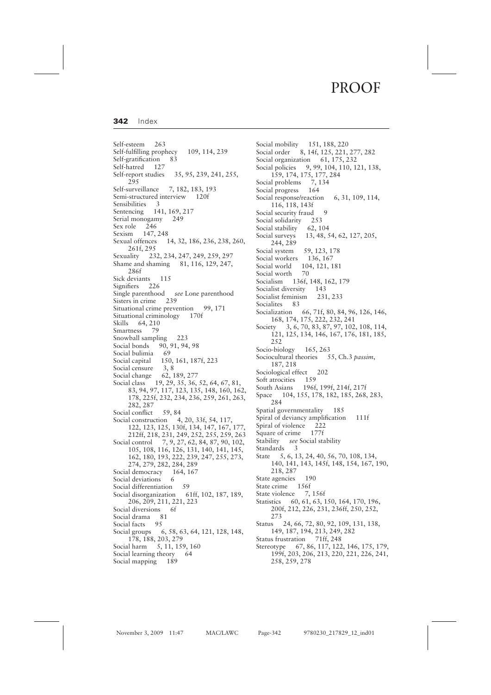Self-esteem 263 Self-fulfilling prophecy 109, 114, 239<br>Self-gratification 83 Self-gratification<br>Self-batred 127 Self-hatred 127<br>Self-report studies 35, 95, 239, 241, 255, 295 Self-surveillance 7, 182, 183, 193<br>Semi-structured interview 120f Semi-structured interview Sensibilities 3 Sentencing 141, 169, 217<br>Serial monogamy 249 Serial monogamy Sex role 246 Sexism 147, 248 Sexual offences 14, 32, 186, 236, 238, 260, 261f, 295 Sexuality 232, 234, 247, 249, 259, 297 Shame and shaming 81, 116, 129, 247, 286f Sick deviants 115 Signifiers 226 Single parenthood *see* Lone parenthood Sisters in crime 239 Situational crime prevention 99, 171<br>Situational criminology 170f Situational criminology<br>Skills 64, 210  $\frac{64}{5}$ , 210<br>ss<sup>79</sup> Smartness Snowball sampling 223<br>Social bonds 90, 91, 94  $\begin{array}{r} 90, 91, 94, 98 \\ 69 \end{array}$ Social bulimia<br>Social capital 150, 161, 187f, 223<br>3, 8 Social censure 3, 8<br>Social change 62, 189, 277 Social change Social class 19, 29, 35, 36, 52, 64, 67, 81, 83, 94, 97, 117, 123, 135, 148, 160, 162, 178, 225f, 232, 234, 236, 259, 261, 263, 282, 287 Social conflict 59, 84 Social construction 4, 20, 33f, 54, 117, 122, 123, 125, 130f, 134, 147, 167, 177, 212ff, 218, 231, 249, 252, 255, 259, 263 Social control 7, 9, 27, 62, 84, 87, 90, 102, 105, 108, 116, 126, 131, 140, 141, 145, 162, 180, 193, 222, 239, 247, 255, 273, 274, 279, 282, 284, 289<br>al democracy 164, 167 Social democracy Social deviations 6 Social differentiation 59 Social disorganization 61ff, 102, 187, 189, 206, 209, 211, 221, 223 Social diversions 6f Social drama 81 Social facts 95 Social groups 6, 58, 63, 64, 121, 128, 148, 178, 188, 203, 279 Social harm 5, 11, 159, 160 Social learning theory 64 Social mapping 189

Social mobility 151, 188, 220<br>Social order 8, 14f, 125, 221, 8, 14f, 125, 221, 277, 282<br>tion 61, 175, 232 Social organization<br>Social policies 9, 9, 99, 104, 110, 121, 138, 159, 174, 175, 177, 284<br>d problems 7, 134 Social problems Social progress 164 Social response/reaction 6, 31, 109, 114, 116, 118, 143f Social security fraud 9 Social solidarity 253<br>Social stability 62, 104 Social stability Social surveys 13, 48, 54, 62, 127, 205, 244, 289 Social system 59, 123, 178 Social workers 136, 167<br>Social world 104, 121, 1 104, 121, 181 Social worth 70<br>Socialism 136f. 136f, 148, 162, 179 Socialist diversity 143 Socialist feminism 231, 233<br>Socialites 83 **Socialites** Socialization 66, 71f, 80, 84, 96, 126, 146, 168, 174, 175, 222, 232, 241 Society 3, 6, 70, 83, 87, 97, 102, 108, 114, 121, 125, 134, 146, 167, 176, 181, 185, 252 Socio-biology 165, 263 Sociocultural theories 55, Ch.3 *passim*, 187, 218 Sociological effect 202<br>Soft atrocities 159 Soft atrocities<br>South Asians 196f, 199f, 214f, 217f Space 104, 155, 178, 182, 185, 268, 283, 284 Spatial governmentality 185 Spiral of deviancy amplification 111f Spiral of violence 222 Square of crime 177f Stability *see* Social stability Standards 3 State 5, 6, 13, 24, 40, 56, 70, 108, 134, 140, 141, 143, 145f, 148, 154, 167, 190, 218, 287 State agencies 190 State crime 156f<br>State violence 7, 156f State violence Statistics 60, 61, 63, 150, 164, 170, 196, 200f, 212, 226, 231, 236ff, 250, 252, 273 Status 24, 66, 72, 80, 92, 109, 131, 138, 149, 187, 194, 213, 249, 282 Status frustration 71ff, 248 Stereotype 67, 86, 117, 122, 146, 175, 179, 199f, 203, 206, 213, 220, 221, 226, 241, 258, 259, 278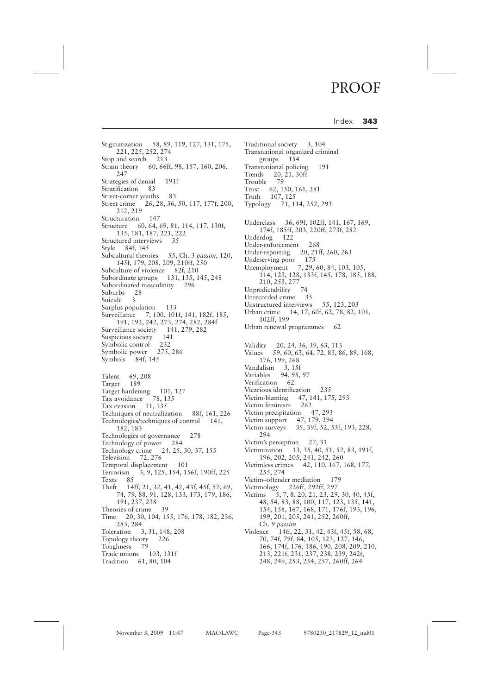#### Index **343**

Stigmatization 58, 89, 119, 127, 131, 175, 221, 225, 252, 274<br>and search 213 Stop and search<br>Strain theory 60, 66ff, 98, 157, 160, 206, 247 Strategies of denial 191f<br>Stratification 83 Stratification Street-corner youths 83<br>Street crime 26, 28, 36, 26, 28, 36, 50, 117, 177f, 200, 212, 219 Structuration 147 Structure 60, 64, 69, 81, 114, 117, 130f, 135, 181, 187, 221, 222 Structured interviews 35 Style 84f, 145<br>Subcultural theories 55, Ch. 3 *passim*, 120, 145f, 179, 208, 209, 210ff, 250 Subculture of violence 82f, 210<br>Subordinate groups 131, 135, 1 131, 135, 145, 248 Subordinated masculinity<br>Suburbs 28 Suburbs 2<br>Suicide 3 Suicide Surplus population 133<br>Surveillance 7, 100, 101 7, 100, 101f, 141, 182f, 185, 191, 192, 242, 273, 274, 282, 284f<br>eillance society 141, 279, 282 Surveillance society 14<br>Suspicious society 141 Suspicious society 141<br>Symbolic control 232 Symbolic control 232<br>Symbolic power 275, 286 Symbolic power Symbols 84f, 145 Talent 69, 208 Target 189 Target hardening 101, 127<br>Tax avoidance 78, 135 Tax avoidance Tax evasion 11, 135 Techniques of neutralization 88f, 161, 226 Technologies/techniques of control 141, 182, 183 Technologies of governance 278 Technology of power 284 Technology crime 24, 25, 30, 37, 155<br>Television 72, 276 Television Temporal displacement 101<br>Terrorism 3, 9, 125, 154, 15 3, 9, 125, 154, 156f, 190ff, 225 Texts 85<br>Theft 14 Theft 14ff, 21, 32, 41, 42, 43f, 45f, 52, 69, 74, 79, 88, 91, 128, 133, 173, 179, 186, 191, 237, 238 Theories of crime 39 Time 20, 30, 104, 155, 176, 178, 182, 236, 283, 284 Toleration 3, 31, 148, 208 Topology theory 226 Toughness 79 Trade unions 103, 131f Tradition 61, 80, 104

Traditional society 3, 104 Transnational organized criminal groups Transnational policing 191<br>Trends 20, 21, 30ff 20, 21, 30ff<br>79 Trouble Trust 62, 150, 161, 281 Truth 107, 125 Typology 71, 114, 252, 293 Underclass 36, 69f, 102ff, 141, 167, 169, 174f, 185ff, 203, 220ff, 273f, 282 Underdog 122 Under-enforcement 268<br>Under-reporting 20, 211 20, 21ff, 260, 263 Undeserving poor 175<br>Unemployment 7, 29, 7, 29, 60, 84, 103, 105, 114, 123, 128, 133f, 145, 178, 185, 188, 210, 253, 277 Unpredictability 74<br>Unrecorded crime 35 Unrecorded crime Unstructured interviews 55, 123, 203 Urban crime 14, 17, 60f, 62, 78, 82, 101, 102ff, 199 Urban renewal programmes 62 Validity 20, 24, 36, 39, 63, 113 Values 59, 60, 63, 64, 72, 83, 86, 89, 168, 176, 199, 268 Vandalism 3, 15f Variables 94, 95, 97<br>Verification 62 Verification Vicarious identification 235<br>Victim-blaming 47, 141, 17 47, 141, 175, 293<br>262 Victim feminism 262<br>Victim precipitation 47, 293 Victim precipitation 47, 293<br>Victim support 47, 179, 294 Victim support Victim surveys 35, 39f, 52, 53f, 193, 228, 294 Victim's perception 27, 31 Victimization 13, 35, 40, 51, 52, 83, 191f, 196, 202, 205, 241, 242, 260 Victimless crimes 42, 110, 167, 168, 177, 255, 274 Victim–offender mediation 179 Victimology 226ff, 292ff, 297 Victims 5, 7, 8, 20, 21, 23, 29, 30, 40, 45f, 48, 54, 83, 88, 100, 117, 123, 135, 141, 154, 158, 167, 168, 171, 176f, 193, 196, 199, 201, 205, 241, 252, 260ff, Ch. 9 *passim* Violence 14ff, 22, 31, 42, 43f, 45f, 58, 68, 70, 74f, 79f, 84, 105, 123, 127, 146, 166, 174f, 176, 186, 190, 208, 209, 210, 213, 221f, 231, 237, 238, 239, 242f, 248, 249, 253, 254, 257, 260ff, 264